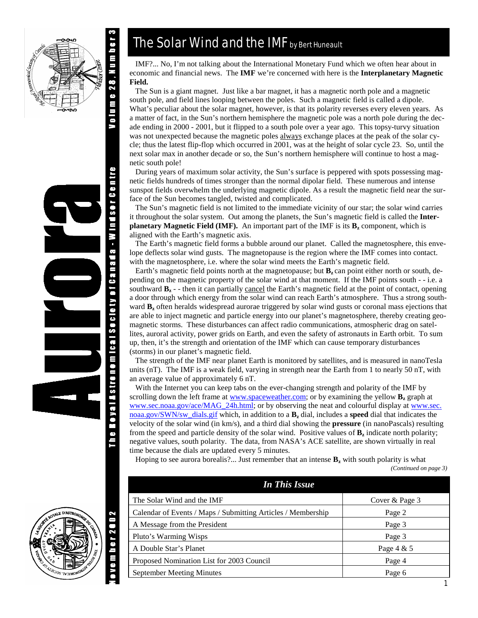





# The Solar Wind and the IMF by Bert Huneault

 IMF?... No, I'm not talking about the International Monetary Fund which we often hear about in economic and financial news. The **IMF** we're concerned with here is the **Interplanetary Magnetic Field.** 

 The Sun is a giant magnet. Just like a bar magnet, it has a magnetic north pole and a magnetic south pole, and field lines looping between the poles. Such a magnetic field is called a dipole. What's peculiar about the solar magnet, however, is that its polarity reverses every eleven years. As a matter of fact, in the Sun's northern hemisphere the magnetic pole was a north pole during the decade ending in 2000 - 2001, but it flipped to a south pole over a year ago. This topsy-turvy situation was not unexpected because the magnetic poles always exchange places at the peak of the solar cycle; thus the latest flip-flop which occurred in 2001, was at the height of solar cycle 23. So, until the next solar max in another decade or so, the Sun's northern hemisphere will continue to host a magnetic south pole!

 During years of maximum solar activity, the Sun's surface is peppered with spots possessing magnetic fields hundreds of times stronger than the normal dipolar field. These numerous and intense sunspot fields overwhelm the underlying magnetic dipole. As a result the magnetic field near the surface of the Sun becomes tangled, twisted and complicated.

 The Sun's magnetic field is not limited to the immediate vicinity of our star; the solar wind carries it throughout the solar system. Out among the planets, the Sun's magnetic field is called the **Interplanetary Magnetic Field (IMF).** An important part of the IMF is its  $B_z$  component, which is aligned with the Earth's magnetic axis.

 The Earth's magnetic field forms a bubble around our planet. Called the magnetosphere, this envelope deflects solar wind gusts. The magnetopause is the region where the IMF comes into contact. with the magnetosphere, i.e. where the solar wind meets the Earth's magnetic field.

Earth's magnetic field points north at the magnetopause; but  $\mathbf{B}_z$  can point either north or south, depending on the magnetic property of the solar wind at that moment. If the IMF points south - - i.e. a southward **Bz** - - then it can partially cancel the Earth's magnetic field at the point of contact, opening a door through which energy from the solar wind can reach Earth's atmosphere. Thus a strong southward **B**<sub>z</sub> often heralds widespread aurorae triggered by solar wind gusts or coronal mass ejections that are able to inject magnetic and particle energy into our planet's magnetosphere, thereby creating geomagnetic storms. These disturbances can affect radio communications, atmospheric drag on satellites, auroral activity, power grids on Earth, and even the safety of astronauts in Earth orbit. To sum up, then, it's the strength and orientation of the IMF which can cause temporary disturbances (storms) in our planet's magnetic field.

 The strength of the IMF near planet Earth is monitored by satellites, and is measured in nanoTesla units (nT). The IMF is a weak field, varying in strength near the Earth from 1 to nearly 50 nT, with an average value of approximately 6 nT.

 With the Internet you can keep tabs on the ever-changing strength and polarity of the IMF by scrolling down the left frame at www.spaceweather.com; or by examining the yellow  $\mathbf{B}_z$  graph at www.sec.noaa.gov/ace/MAG\_24h.html; or by observing the neat and colourful display at www.sec. noaa.gov/SWN/sw\_dials.gif which, in addition to a **Bz** dial, includes a **speed** dial that indicates the velocity of the solar wind (in km/s), and a third dial showing the **pressure** (in nanoPascals) resulting from the speed and particle density of the solar wind. Positive values of  $\mathbf{B}_z$  indicate north polarity; negative values, south polarity. The data, from NASA's ACE satellite, are shown virtually in real time because the dials are updated every 5 minutes.

Hoping to see aurora borealis?... Just remember that an intense  $\mathbf{B}_z$  with south polarity is what *(Continued on page 3)* 

| <b>In This Issue</b>                                         |                |
|--------------------------------------------------------------|----------------|
| The Solar Wind and the IMF                                   | Cover & Page 3 |
| Calendar of Events / Maps / Submitting Articles / Membership | Page 2         |
| A Message from the President                                 | Page 3         |
| Pluto's Warming Wisps                                        | Page 3         |
| A Double Star's Planet                                       | Page 4 & 5     |
| Proposed Nomination List for 2003 Council                    | Page 4         |
| September Meeting Minutes                                    | Page 6         |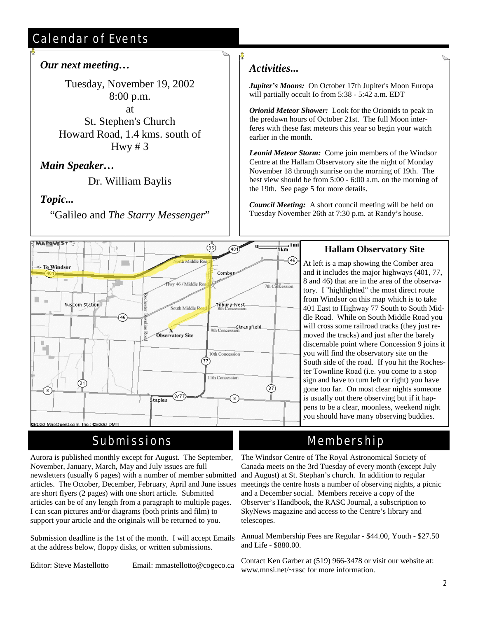# Calendar of Events

## *Our next meeting…*

Tuesday, November 19, 2002 8:00 p.m. at St. Stephen's Church Howard Road, 1.4 kms. south of

Hwy  $# 3$ 

## *Main Speaker…*

Dr. William Baylis

## *Topic...*

"Galileo and *The Starry Messenger*"

## *Activities...*

*Jupiter's Moons:* On October 17th Jupiter's Moon Europa will partially occult Io from 5:38 - 5:42 a.m. EDT

*Orionid Meteor Shower:* Look for the Orionids to peak in the predawn hours of October 21st. The full Moon interferes with these fast meteors this year so begin your watch earlier in the month.

*Leonid Meteor Storm:* Come join members of the Windsor Centre at the Hallam Observatory site the night of Monday November 18 through sunrise on the morning of 19th. The best view should be from 5:00 - 6:00 a.m. on the morning of the 19th. See page 5 for more details.

*Council Meeting:* A short council meeting will be held on Tuesday November 26th at 7:30 p.m. at Randy's house.



# Submissions

Aurora is published monthly except for August. The September, November, January, March, May and July issues are full newsletters (usually 6 pages) with a number of member submitted articles. The October, December, February, April and June issues are short flyers (2 pages) with one short article. Submitted articles can be of any length from a paragraph to multiple pages. I can scan pictures and/or diagrams (both prints and film) to support your article and the originals will be returned to you.

Submission deadline is the 1st of the month. I will accept Emails at the address below, floppy disks, or written submissions.

Editor: Steve Mastellotto Email: mmastellotto@cogeco.ca

## **Hallam Observatory Site**

At left is a map showing the Comber area and it includes the major highways (401, 77, 8 and 46) that are in the area of the observatory. I "highlighted" the most direct route from Windsor on this map which is to take 401 East to Highway 77 South to South Middle Road. While on South Middle Road you will cross some railroad tracks (they just removed the tracks) and just after the barely discernable point where Concession 9 joins it you will find the observatory site on the South side of the road. If you hit the Rochester Townline Road (i.e. you come to a stop sign and have to turn left or right) you have gone too far. On most clear nights someone is usually out there observing but if it happens to be a clear, moonless, weekend night you should have many observing buddies.

# Membership

The Windsor Centre of The Royal Astronomical Society of Canada meets on the 3rd Tuesday of every month (except July and August) at St. Stephan's church. In addition to regular meetings the centre hosts a number of observing nights, a picnic and a December social. Members receive a copy of the Observer's Handbook, the RASC Journal, a subscription to SkyNews magazine and access to the Centre's library and telescopes.

Annual Membership Fees are Regular - \$44.00, Youth - \$27.50 and Life - \$880.00.

Contact Ken Garber at (519) 966-3478 or visit our website at: www.mnsi.net/~rasc for more information.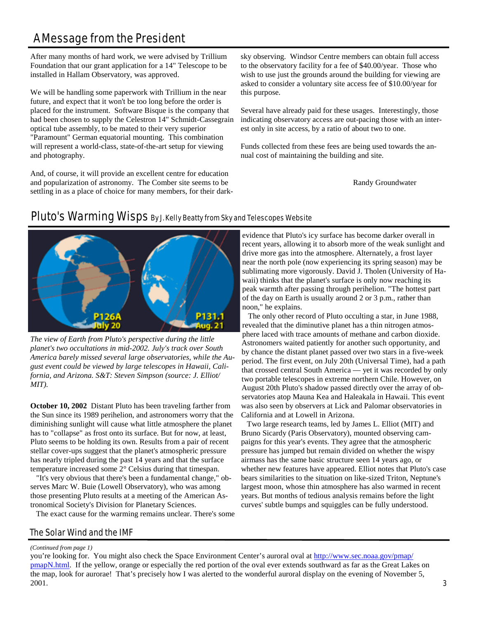# A Message from the President

After many months of hard work, we were advised by Trillium Foundation that our grant application for a 14" Telescope to be installed in Hallam Observatory, was approved.

We will be handling some paperwork with Trillium in the near future, and expect that it won't be too long before the order is placed for the instrument. Software Bisque is the company that had been chosen to supply the Celestron 14" Schmidt-Cassegrain optical tube assembly, to be mated to their very superior "Paramount" German equatorial mounting. This combination will represent a world-class, state-of-the-art setup for viewing and photography.

And, of course, it will provide an excellent centre for education and popularization of astronomy. The Comber site seems to be settling in as a place of choice for many members, for their darksky observing. Windsor Centre members can obtain full access to the observatory facility for a fee of \$40.00/year. Those who wish to use just the grounds around the building for viewing are asked to consider a voluntary site access fee of \$10.00/year for this purpose.

Several have already paid for these usages. Interestingly, those indicating observatory access are out-pacing those with an interest only in site access, by a ratio of about two to one.

Funds collected from these fees are being used towards the annual cost of maintaining the building and site.

Randy Groundwater



# Pluto's Warming Wisps By J. Kelly Beatty from Sky and Telescopes Website

*The view of Earth from Pluto's perspective during the little planet's two occultations in mid-2002. July's track over South America barely missed several large observatories, while the August event could be viewed by large telescopes in Hawaii, California, and Arizona. S&T: Steven Simpson (source: J. Elliot/ MIT).* 

**October 10, 2002** Distant Pluto has been traveling farther from the Sun since its 1989 perihelion, and astronomers worry that the diminishing sunlight will cause what little atmosphere the planet has to "collapse" as frost onto its surface. But for now, at least, Pluto seems to be holding its own. Results from a pair of recent stellar cover-ups suggest that the planet's atmospheric pressure has nearly tripled during the past 14 years and that the surface temperature increased some 2° Celsius during that timespan.

 "It's very obvious that there's been a fundamental change," observes Marc W. Buie (Lowell Observatory), who was among those presenting Pluto results at a meeting of the American Astronomical Society's Division for Planetary Sciences.

The exact cause for the warming remains unclear. There's some

#### The Solar Wind and the IMF

#### evidence that Pluto's icy surface has become darker overall in recent years, allowing it to absorb more of the weak sunlight and drive more gas into the atmosphere. Alternately, a frost layer near the north pole (now experiencing its spring season) may be sublimating more vigorously. David J. Tholen (University of Hawaii) thinks that the planet's surface is only now reaching its peak warmth after passing through perihelion. "The hottest part of the day on Earth is usually around 2 or 3 p.m., rather than noon," he explains.

 The only other record of Pluto occulting a star, in June 1988, revealed that the diminutive planet has a thin nitrogen atmosphere laced with trace amounts of methane and carbon dioxide. Astronomers waited patiently for another such opportunity, and by chance the distant planet passed over two stars in a five-week period. The first event, on July 20th (Universal Time), had a path that crossed central South America — yet it was recorded by only two portable telescopes in extreme northern Chile. However, on August 20th Pluto's shadow passed directly over the array of observatories atop Mauna Kea and Haleakala in Hawaii. This event was also seen by observers at Lick and Palomar observatories in California and at Lowell in Arizona.

 Two large research teams, led by James L. Elliot (MIT) and Bruno Sicardy (Paris Observatory), mounted observing campaigns for this year's events. They agree that the atmospheric pressure has jumped but remain divided on whether the wispy airmass has the same basic structure seen 14 years ago, or whether new features have appeared. Elliot notes that Pluto's case bears similarities to the situation on like-sized Triton, Neptune's largest moon, whose thin atmosphere has also warmed in recent years. But months of tedious analysis remains before the light curves' subtle bumps and squiggles can be fully understood.

#### *(Continued from page 1)*

you're looking for. You might also check the Space Environment Center's auroral oval at http://www.sec.noaa.gov/pmap/ pmapN.html. If the yellow, orange or especially the red portion of the oval ever extends southward as far as the Great Lakes on the map, look for aurorae! That's precisely how I was alerted to the wonderful auroral display on the evening of November 5, 2001.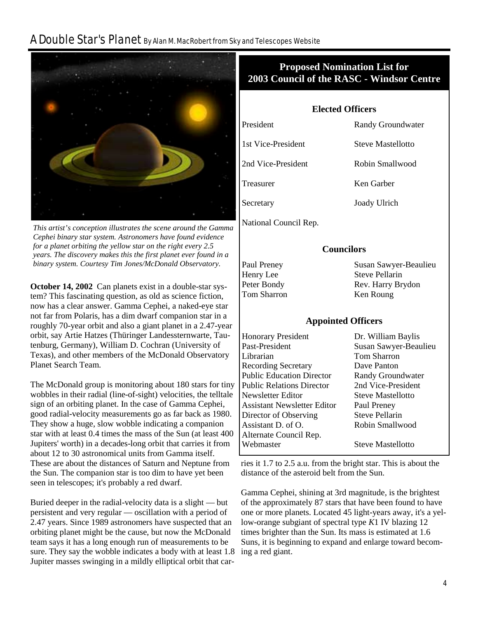# A Double Star's Planet By Alan M. MacRobert from Sky and Telescopes Website



*This artist's conception illustrates the scene around the Gamma Cephei binary star system. Astronomers have found evidence for a planet orbiting the yellow star on the right every 2.5 years. The discovery makes this the first planet ever found in a binary system. Courtesy Tim Jones/McDonald Observatory.* 

**October 14, 2002** Can planets exist in a double-star system? This fascinating question, as old as science fiction, now has a clear answer. Gamma Cephei, a naked-eye star not far from Polaris, has a dim dwarf companion star in a roughly 70-year orbit and also a giant planet in a 2.47-year orbit, say Artie Hatzes (Thüringer Landessternwarte, Tautenburg, Germany), William D. Cochran (University of Texas), and other members of the McDonald Observatory Planet Search Team.

The McDonald group is monitoring about 180 stars for tiny wobbles in their radial (line-of-sight) velocities, the telltale sign of an orbiting planet. In the case of Gamma Cephei, good radial-velocity measurements go as far back as 1980. They show a huge, slow wobble indicating a companion star with at least 0.4 times the mass of the Sun (at least 400 Jupiters' worth) in a decades-long orbit that carries it from about 12 to 30 astronomical units from Gamma itself. These are about the distances of Saturn and Neptune from the Sun. The companion star is too dim to have yet been seen in telescopes; it's probably a red dwarf.

Buried deeper in the radial-velocity data is a slight — but persistent and very regular — oscillation with a period of 2.47 years. Since 1989 astronomers have suspected that an orbiting planet might be the cause, but now the McDonald team says it has a long enough run of measurements to be sure. They say the wobble indicates a body with at least 1.8 Jupiter masses swinging in a mildly elliptical orbit that car-

## **Proposed Nomination List for 2003 Council of the RASC - Windsor Centre**

**Elected Officers** 

President Randy Groundwater 1st Vice-President Steve Mastellotto 2nd Vice-President Robin Smallwood Treasurer Ken Garber

National Council Rep.

#### **Councilors**

Secretary Joady Ulrich

Henry Lee Steve Pellarin Tom Sharron Ken Roung

Paul Preney Susan Sawyer-Beaulieu Peter Bondy Rev. Harry Brydon

#### **Appointed Officers**

| <b>Honorary President</b>        | Dr. William Baylis       |
|----------------------------------|--------------------------|
| Past-President                   | Susan Sawyer-Beaulieu    |
| Librarian                        | <b>Tom Sharron</b>       |
| <b>Recording Secretary</b>       | Dave Panton              |
| <b>Public Education Director</b> | Randy Groundwater        |
| <b>Public Relations Director</b> | 2nd Vice-President       |
| Newsletter Editor                | <b>Steve Mastellotto</b> |
| Assistant Newsletter Editor      | Paul Preney              |
| Director of Observing            | <b>Steve Pellarin</b>    |
| Assistant D. of O.               | Robin Smallwood          |
| Alternate Council Rep.           |                          |
| Webmaster                        | <b>Steve Mastellotto</b> |
|                                  |                          |

ries it 1.7 to 2.5 a.u. from the bright star. This is about the distance of the asteroid belt from the Sun.

Gamma Cephei, shining at 3rd magnitude, is the brightest of the approximately 87 stars that have been found to have one or more planets. Located 45 light-years away, it's a yellow-orange subgiant of spectral type *K*1 IV blazing 12 times brighter than the Sun. Its mass is estimated at 1.6 Suns, it is beginning to expand and enlarge toward becoming a red giant.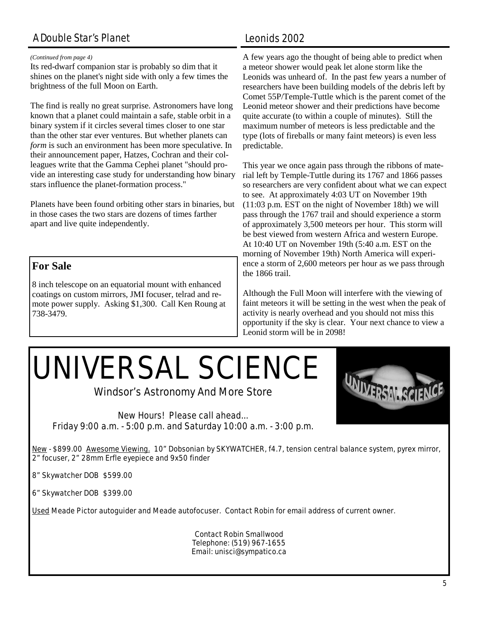# A Double Star's Planet

#### *(Continued from page 4)*

Its red-dwarf companion star is probably so dim that it shines on the planet's night side with only a few times the brightness of the full Moon on Earth.

The find is really no great surprise. Astronomers have long known that a planet could maintain a safe, stable orbit in a binary system if it circles several times closer to one star than the other star ever ventures. But whether planets can *form* is such an environment has been more speculative. In their announcement paper, Hatzes, Cochran and their colleagues write that the Gamma Cephei planet "should provide an interesting case study for understanding how binary stars influence the planet-formation process."

Planets have been found orbiting other stars in binaries, but in those cases the two stars are dozens of times farther apart and live quite independently.

## **For Sale**

8 inch telescope on an equatorial mount with enhanced coatings on custom mirrors, JMI focuser, telrad and remote power supply. Asking \$1,300. Call Ken Roung at 738-3479.

## Leonids 2002

A few years ago the thought of being able to predict when a meteor shower would peak let alone storm like the Leonids was unheard of. In the past few years a number of researchers have been building models of the debris left by Comet 55P/Temple-Tuttle which is the parent comet of the Leonid meteor shower and their predictions have become quite accurate (to within a couple of minutes). Still the maximum number of meteors is less predictable and the type (lots of fireballs or many faint meteors) is even less predictable.

This year we once again pass through the ribbons of material left by Temple-Tuttle during its 1767 and 1866 passes so researchers are very confident about what we can expect to see. At approximately 4:03 UT on November 19th (11:03 p.m. EST on the night of November 18th) we will pass through the 1767 trail and should experience a storm of approximately 3,500 meteors per hour. This storm will be best viewed from western Africa and western Europe. At 10:40 UT on November 19th (5:40 a.m. EST on the morning of November 19th) North America will experience a storm of 2,600 meteors per hour as we pass through the 1866 trail.

Although the Full Moon will interfere with the viewing of faint meteors it will be setting in the west when the peak of activity is nearly overhead and you should not miss this opportunity if the sky is clear. Your next chance to view a Leonid storm will be in 2098!

# UNIVERSAL SCIENCE

Windsor's Astronomy And More Store

*New Hours! Please call ahead... Friday 9:00 a.m. - 5:00 p.m. and Saturday 10:00 a.m. - 3:00 p.m.* 

New - \$899.00 Awesome Viewing. 10" Dobsonian by SKYWATCHER, f4.7, tension central balance system, pyrex mirror, 2" focuser, 2" 28mm Erfle eyepiece and 9x50 finder

8" Skywatcher DOB \$599.00

6" Skywatcher DOB \$399.00

Used Meade Pictor autoguider and Meade autofocuser. Contact Robin for email address of current owner.

Contact Robin Smallwood Telephone: (519) 967-1655 Email: unisci@sympatico.ca